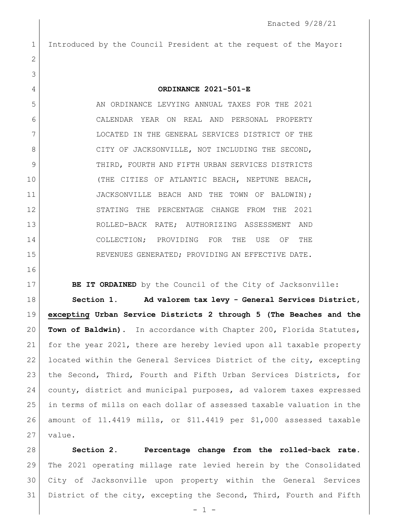Introduced by the Council President at the request of the Mayor:

 **ORDINANCE 2021-501-E** AN ORDINANCE LEVYING ANNUAL TAXES FOR THE 2021 CALENDAR YEAR ON REAL AND PERSONAL PROPERTY LOCATED IN THE GENERAL SERVICES DISTRICT OF THE 8 CITY OF JACKSONVILLE, NOT INCLUDING THE SECOND, 9 THIRD, FOURTH AND FIFTH URBAN SERVICES DISTRICTS (THE CITIES OF ATLANTIC BEACH, NEPTUNE BEACH, 11 JACKSONVILLE BEACH AND THE TOWN OF BALDWIN); STATING THE PERCENTAGE CHANGE FROM THE 2021 ROLLED-BACK RATE; AUTHORIZING ASSESSMENT AND COLLECTION; PROVIDING FOR THE USE OF THE 15 REVENUES GENERATED; PROVIDING AN EFFECTIVE DATE.

**BE IT ORDAINED** by the Council of the City of Jacksonville:

 **Section 1. Ad valorem tax levy - General Services District, excepting Urban Service Districts 2 through 5 (The Beaches and the Town of Baldwin).** In accordance with Chapter 200, Florida Statutes, for the year 2021, there are hereby levied upon all taxable property located within the General Services District of the city, excepting 23 | the Second, Third, Fourth and Fifth Urban Services Districts, for county, district and municipal purposes, ad valorem taxes expressed in terms of mills on each dollar of assessed taxable valuation in the amount of 11.4419 mills, or \$11.4419 per \$1,000 assessed taxable value.

 **Section 2. Percentage change from the rolled-back rate.** The 2021 operating millage rate levied herein by the Consolidated City of Jacksonville upon property within the General Services District of the city, excepting the Second, Third, Fourth and Fifth